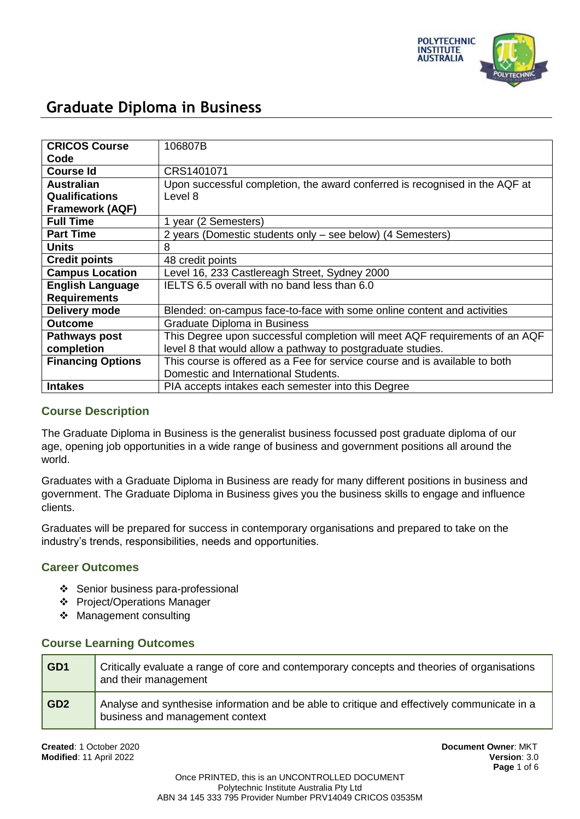

| <b>CRICOS Course</b>     | 106807B                                                                     |
|--------------------------|-----------------------------------------------------------------------------|
| Code                     |                                                                             |
| <b>Course Id</b>         | CRS1401071                                                                  |
| <b>Australian</b>        | Upon successful completion, the award conferred is recognised in the AQF at |
| <b>Qualifications</b>    | Level 8                                                                     |
| <b>Framework (AQF)</b>   |                                                                             |
| <b>Full Time</b>         | 1 year (2 Semesters)                                                        |
| <b>Part Time</b>         | 2 years (Domestic students only – see below) (4 Semesters)                  |
| <b>Units</b>             | 8                                                                           |
| <b>Credit points</b>     | 48 credit points                                                            |
| <b>Campus Location</b>   | Level 16, 233 Castlereagh Street, Sydney 2000                               |
| <b>English Language</b>  | IELTS 6.5 overall with no band less than 6.0                                |
| <b>Requirements</b>      |                                                                             |
| Delivery mode            | Blended: on-campus face-to-face with some online content and activities     |
| <b>Outcome</b>           | Graduate Diploma in Business                                                |
| <b>Pathways post</b>     | This Degree upon successful completion will meet AQF requirements of an AQF |
| completion               | level 8 that would allow a pathway to postgraduate studies.                 |
| <b>Financing Options</b> | This course is offered as a Fee for service course and is available to both |
|                          | Domestic and International Students.                                        |
| <b>Intakes</b>           | PIA accepts intakes each semester into this Degree                          |

## **Course Description**

The Graduate Diploma in Business is the generalist business focussed post graduate diploma of our age, opening job opportunities in a wide range of business and government positions all around the world.

Graduates with a Graduate Diploma in Business are ready for many different positions in business and government. The Graduate Diploma in Business gives you the business skills to engage and influence clients.

Graduates will be prepared for success in contemporary organisations and prepared to take on the industry's trends, responsibilities, needs and opportunities.

## **Career Outcomes**

- Senior business para-professional
- Project/Operations Manager
- Management consulting

### **Course Learning Outcomes**

| GD1   | Critically evaluate a range of core and contemporary concepts and theories of organisations<br>and their management            |
|-------|--------------------------------------------------------------------------------------------------------------------------------|
| l GD2 | Analyse and synthesise information and be able to critique and effectively communicate in a<br>business and management context |

**Created**: 1 October 2020 **Document Owner**: MKT **Modified**: 11 April 2022 **Version**: 3.0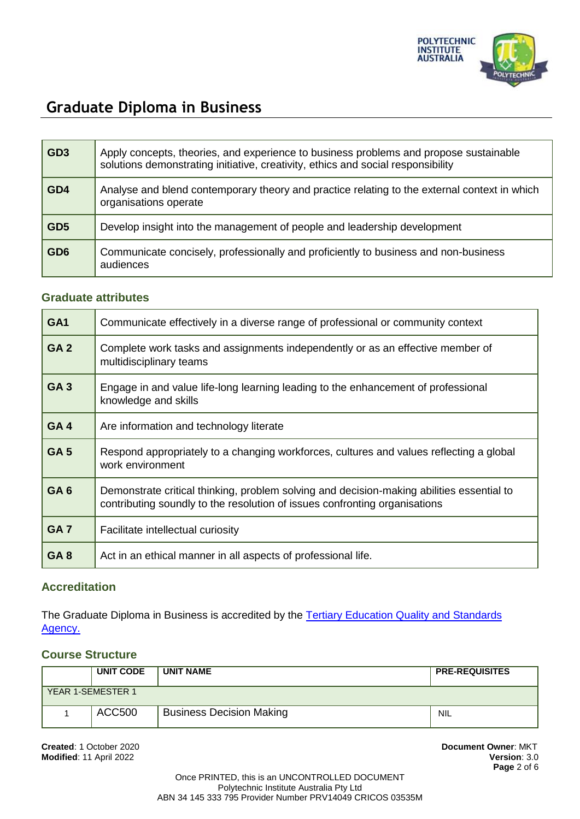

| GD3 | Apply concepts, theories, and experience to business problems and propose sustainable<br>solutions demonstrating initiative, creativity, ethics and social responsibility |
|-----|---------------------------------------------------------------------------------------------------------------------------------------------------------------------------|
| GD4 | Analyse and blend contemporary theory and practice relating to the external context in which<br>organisations operate                                                     |
| GD5 | Develop insight into the management of people and leadership development                                                                                                  |
| GD6 | Communicate concisely, professionally and proficiently to business and non-business<br>audiences                                                                          |

### **Graduate attributes**

| GA <sub>1</sub> | Communicate effectively in a diverse range of professional or community context                                                                                         |
|-----------------|-------------------------------------------------------------------------------------------------------------------------------------------------------------------------|
| GA <sub>2</sub> | Complete work tasks and assignments independently or as an effective member of<br>multidisciplinary teams                                                               |
| GA <sub>3</sub> | Engage in and value life-long learning leading to the enhancement of professional<br>knowledge and skills                                                               |
| GA4             | Are information and technology literate                                                                                                                                 |
| GA <sub>5</sub> | Respond appropriately to a changing workforces, cultures and values reflecting a global<br>work environment                                                             |
| GA <sub>6</sub> | Demonstrate critical thinking, problem solving and decision-making abilities essential to<br>contributing soundly to the resolution of issues confronting organisations |
| GA <sub>7</sub> | Facilitate intellectual curiosity                                                                                                                                       |
| GA <sub>8</sub> | Act in an ethical manner in all aspects of professional life.                                                                                                           |

## **Accreditation**

The Graduate Diploma in Business is accredited by the Tertiary Education Quality and Standards [Agency.](https://www.teqsa.gov.au/national-register/course/polytechnic-institute-australia-pty-ltd-5)

## **Course Structure**

|                   | <b>UNIT CODE</b> | <b>UNIT NAME</b>                | <b>PRE-REQUISITES</b> |
|-------------------|------------------|---------------------------------|-----------------------|
| YEAR 1-SEMESTER 1 |                  |                                 |                       |
|                   | ACC500           | <b>Business Decision Making</b> | NIL                   |

**Created**: 1 October 2020 **Document Owner**: MKT **Modified: 11 April 2022**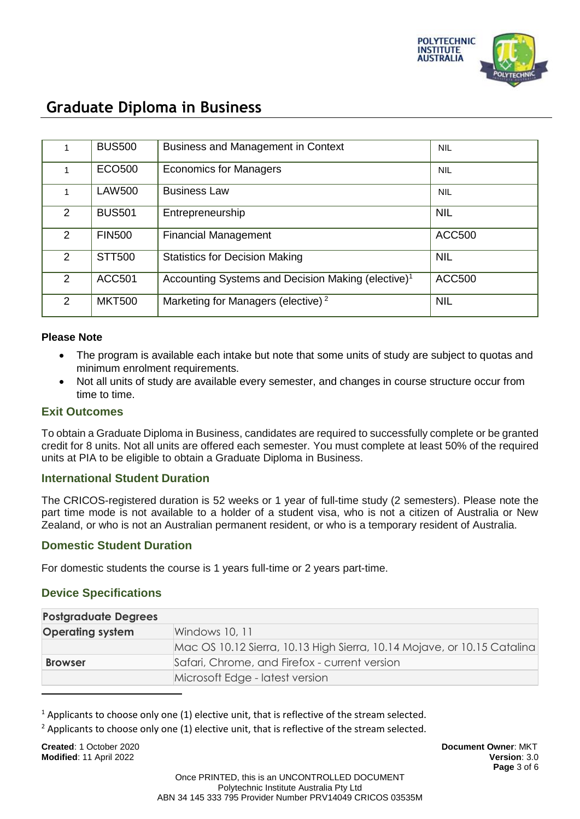

|                      | <b>BUS500</b> | <b>Business and Management in Context</b>                      | <b>NIL</b>    |
|----------------------|---------------|----------------------------------------------------------------|---------------|
|                      | ECO500        | <b>Economics for Managers</b>                                  | <b>NIL</b>    |
|                      | <b>LAW500</b> | <b>Business Law</b>                                            | <b>NIL</b>    |
| $\overline{2}$       | <b>BUS501</b> | Entrepreneurship                                               | <b>NIL</b>    |
| $\overline{2}$       | <b>FIN500</b> | <b>Financial Management</b>                                    | <b>ACC500</b> |
| $\mathbf{2}^{\circ}$ | <b>STT500</b> | <b>Statistics for Decision Making</b>                          | <b>NIL</b>    |
| $\mathcal{P}$        | <b>ACC501</b> | Accounting Systems and Decision Making (elective) <sup>1</sup> | <b>ACC500</b> |
| $\overline{2}$       | <b>MKT500</b> | Marketing for Managers (elective) <sup>2</sup>                 | <b>NIL</b>    |

#### **Please Note**

- The program is available each intake but note that some units of study are subject to quotas and minimum enrolment requirements.
- Not all units of study are available every semester, and changes in course structure occur from time to time.

### **Exit Outcomes**

To obtain a Graduate Diploma in Business, candidates are required to successfully complete or be granted credit for 8 units. Not all units are offered each semester. You must complete at least 50% of the required units at PIA to be eligible to obtain a Graduate Diploma in Business.

### **International Student Duration**

The CRICOS-registered duration is 52 weeks or 1 year of full-time study (2 semesters). Please note the part time mode is not available to a holder of a student visa, who is not a citizen of Australia or New Zealand, or who is not an Australian permanent resident, or who is a temporary resident of Australia.

### **Domestic Student Duration**

For domestic students the course is 1 years full-time or 2 years part-time.

### **Device Specifications**

| <b>Postgraduate Degrees</b> |                                                                         |
|-----------------------------|-------------------------------------------------------------------------|
| <b>Operating system</b>     | Windows 10, 11                                                          |
|                             | Mac OS 10.12 Sierra, 10.13 High Sierra, 10.14 Mojave, or 10.15 Catalina |
| <b>Browser</b>              | Safari, Chrome, and Firefox - current version                           |
|                             | Microsoft Edge - latest version                                         |

 $<sup>1</sup>$  Applicants to choose only one (1) elective unit, that is reflective of the stream selected.</sup>

 $2$  Applicants to choose only one (1) elective unit, that is reflective of the stream selected.

**Created**: 1 October 2020 **Document Owner**: MKT **Modified**: 11 April 2022 **Version**: 3.0

 $\overline{a}$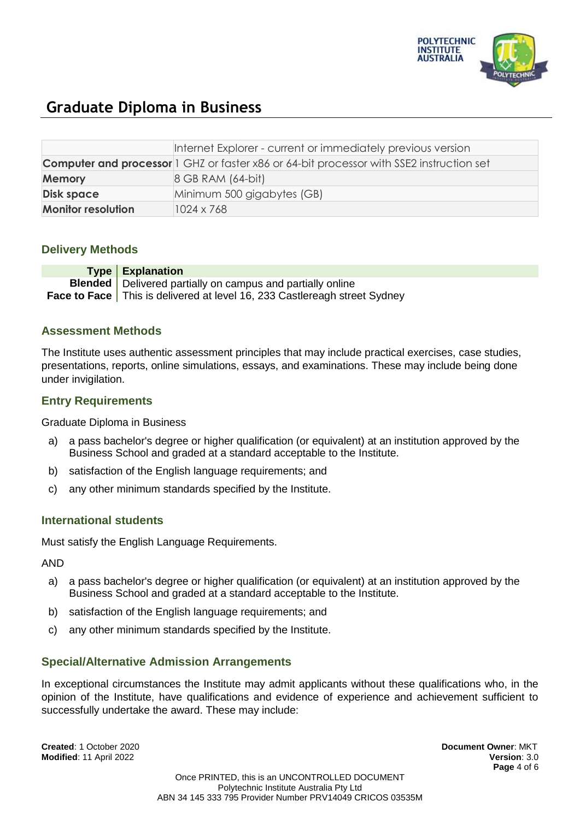

|                           | Internet Explorer - current or immediately previous version                                     |
|---------------------------|-------------------------------------------------------------------------------------------------|
|                           | <b>Computer and processor</b> 1 GHZ or faster x86 or 64-bit processor with SSE2 instruction set |
| <b>Memory</b>             | $8$ GB RAM $(64$ -bit)                                                                          |
| <b>Disk space</b>         | Minimum 500 gigabytes (GB)                                                                      |
| <b>Monitor resolution</b> | 1024 x 768                                                                                      |

## **Delivery Methods**

**Type Explanation Blended** Delivered partially on campus and partially online **Face to Face** This is delivered at level 16, 233 Castlereagh street Sydney

### **Assessment Methods**

The Institute uses authentic assessment principles that may include practical exercises, case studies, presentations, reports, online simulations, essays, and examinations. These may include being done under invigilation.

## **Entry Requirements**

Graduate Diploma in Business

- a) a pass bachelor's degree or higher qualification (or equivalent) at an institution approved by the Business School and graded at a standard acceptable to the Institute.
- b) satisfaction of the English language requirements; and
- c) any other minimum standards specified by the Institute.

## **International students**

Must satisfy the English Language Requirements.

AND

- a) a pass bachelor's degree or higher qualification (or equivalent) at an institution approved by the Business School and graded at a standard acceptable to the Institute.
- b) satisfaction of the English language requirements; and
- c) any other minimum standards specified by the Institute.

### **Special/Alternative Admission Arrangements**

In exceptional circumstances the Institute may admit applicants without these qualifications who, in the opinion of the Institute, have qualifications and evidence of experience and achievement sufficient to successfully undertake the award. These may include:

**Created**: 1 October 2020 **Document Owner**: MKT **Modified**: 11 April 2022 **Version**: 3.0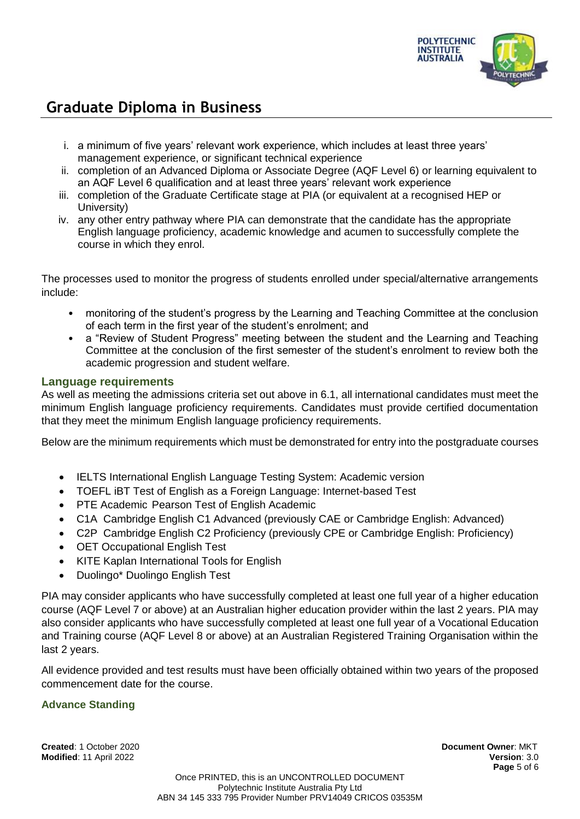

- i. a minimum of five years' relevant work experience, which includes at least three years' management experience, or significant technical experience
- ii. completion of an Advanced Diploma or Associate Degree (AQF Level 6) or learning equivalent to an AQF Level 6 qualification and at least three years' relevant work experience
- iii. completion of the Graduate Certificate stage at PIA (or equivalent at a recognised HEP or University)
- iv. any other entry pathway where PIA can demonstrate that the candidate has the appropriate English language proficiency, academic knowledge and acumen to successfully complete the course in which they enrol.

The processes used to monitor the progress of students enrolled under special/alternative arrangements include:

- monitoring of the student's progress by the Learning and Teaching Committee at the conclusion of each term in the first year of the student's enrolment; and
- a "Review of Student Progress" meeting between the student and the Learning and Teaching Committee at the conclusion of the first semester of the student's enrolment to review both the academic progression and student welfare.

## **Language requirements**

As well as meeting the admissions criteria set out above in 6.1, all international candidates must meet the minimum English language proficiency requirements. Candidates must provide certified documentation that they meet the minimum English language proficiency requirements.

Below are the minimum requirements which must be demonstrated for entry into the postgraduate courses

- IELTS International English Language Testing System: Academic version
- TOEFL iBT Test of English as a Foreign Language: Internet-based Test
- PTE Academic Pearson Test of English Academic
- C1A Cambridge English C1 Advanced (previously CAE or Cambridge English: Advanced)
- C2P Cambridge English C2 Proficiency (previously CPE or Cambridge English: Proficiency)
- OET Occupational English Test
- KITE Kaplan International Tools for English
- Duolingo\* Duolingo English Test

PIA may consider applicants who have successfully completed at least one full year of a higher education course (AQF Level 7 or above) at an Australian higher education provider within the last 2 years. PIA may also consider applicants who have successfully completed at least one full year of a Vocational Education and Training course (AQF Level 8 or above) at an Australian Registered Training Organisation within the last 2 years.

All evidence provided and test results must have been officially obtained within two years of the proposed commencement date for the course.

### **Advance Standing**

**Created**: 1 October 2020 **Document Owner**: MKT **Modified**: 11 April 2022 **Version**: 3.0